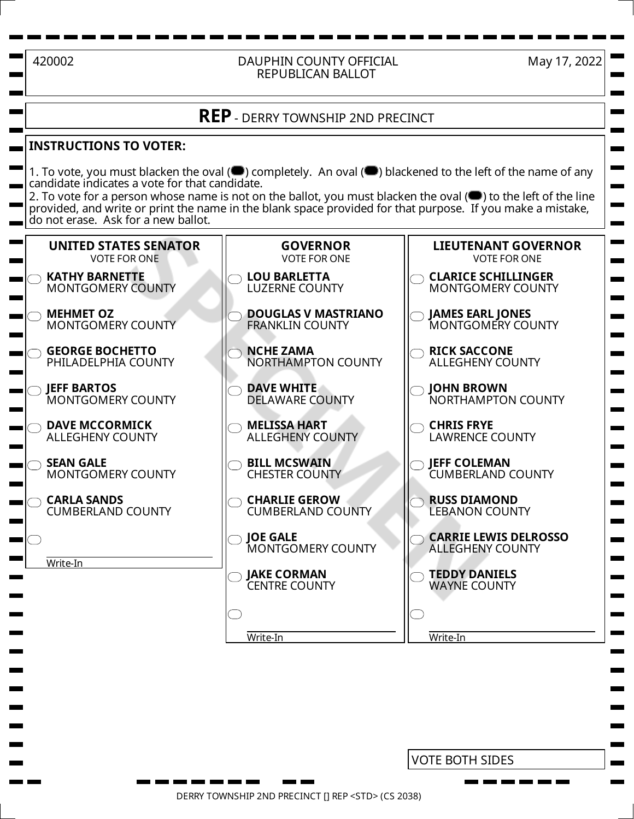## 420002 DAUPHIN COUNTY OFFICIAL REPUBLICAN BALLOT

May 17, 2022

## **REP**- DERRY TOWNSHIP 2ND PRECINCT

## **INSTRUCTIONS TO VOTER:**

1. To vote, you must blacken the oval  $(\blacksquare)$  completely. An oval  $(\blacksquare)$  blackened to the left of the name of any candidate indicates a vote for that candidate.

2. To vote for a person whose name is not on the ballot, you must blacken the oval  $($ **)** to the left of the line provided, and write or print the name in the blank space provided for that purpose. If you make a mistake, do not erase. Ask for a new ballot.